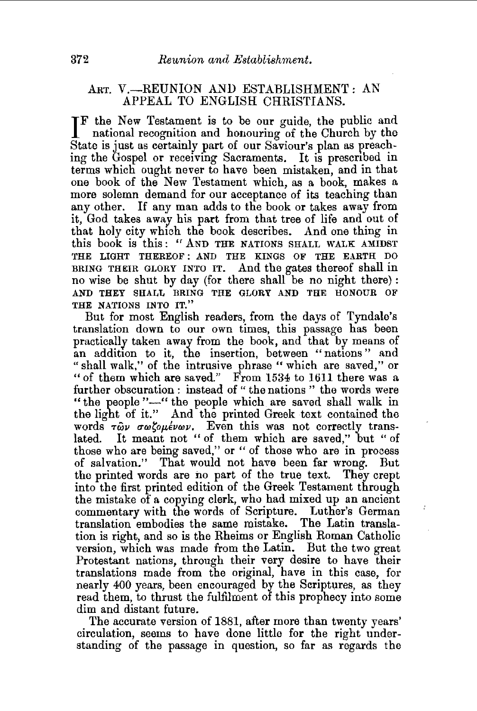## ART. V.-REUNION AND ESTABLISHMENT: AN APPEAL TO ENGLISH CHRISTIANS.

IF the New Testament is to be our guide, the public and national recognition and honouring of the Church by the national recognition and honouring of the Church by the State is just as certainly part of our Saviour's plan as preaching the Gospel or receiving Sacraments. It is prescnbed in terms which ought never to have been mistaken, and in that one book of the New Testament which, as a book, makes a more solemn demand for our acceptance of its teaching than any other. If any man adds to the book or takes away from it, God takes away his part from that tree of life and out of that holy city which the book describes. And one thing in this book is this: *cr* AND THE NATIONS SHALL WALK AMIDST THE LIGHT THEREOF : AND THE KINGS OF THE EARTH DO BRING THEIR GLORY INTO IT. And the gates thereof shall in no wise be shut by day (for there shall be no night there): AND THEY SHALL BRING THE GLORY AND THE HONOUR OF THE NATIONS INTO IT."

But for most English readers, from the days of Tyndale's translation down to our own times, this passage has been practically taken away from the book, and that by means of an addition to it, the insertion, between "nations" and "shall walk," of the intrusive phrase " which are saved," or "of them which are saved." From 1534 to 1611 there was a further obscuration : instead of "the nations" the words were "the people "-" the people which are saved shall walk in the light of it." And the printed Greek text contained the words  $\tau \tilde{\omega} \nu$   $\sigma \omega \zeta \omega \mu \epsilon \nu \omega \nu$ . Even this was not correctly translated. It meant not "of them which are saved," but "of those who are being saved," or " of those who are in process of salvation." That would not have been far wrong. But the printed words are no part of the true text. They crept into the first printed edition of the Greek Testament through the mistake of a copying clerk, who had mixed up an ancient commentary with the words of Scripture. Luther's German translation embodies the same mistake. The Latin translation is right, and so is the Rheims or English Roman Catholic version, which was made from the Latin. But the two great Protestant nations, through their very desire to have their translations made from the original, have in this case, for nearly 400 years, been encouraged by the Scriptures, as they read them, to thrust the fulfilment of this prophecy into some dim and distant future.

The accurate version of 1881, after more than twenty years' circulation, seems to have done little for the right understanding of the passage in question, so far as regards the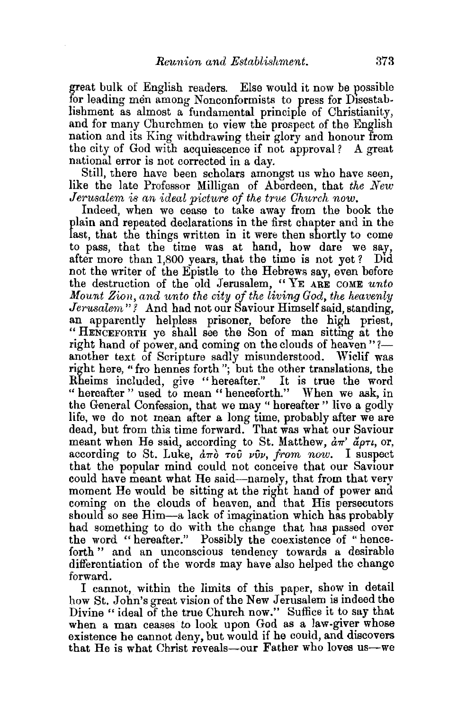great bulk of English readers. Else would it now be possible for leading men among Nonconformists to press for Disestablishment as almost a fundamental principle of Christianity, and for many Churchmen to view the prospect of the English nation and its King withdrawing their glory and honour from the city of God with acquiescence if not approval? A great national error is not corrected in a day.

Still, there have been scholars amongst us who have seen, like the late Professor Milligan of Aberdeen, that *the New Jerusalem is an ideal picture of the true Church now.* 

Indeed, when we cease to take away from the book the plain and repeated declarations in the first chapter and in the last, that the things written in it were then shortly to come to pass, that the time was at hand, how dare we say, after more than 1,800 years, that the time is not yet? Did not the writer of the Epistle to the Hebrews say, even before the destruction of the old Jerusalem, "YE ARE COME *unto Mount Zion, and unto the city of the living God, the heavenly Jerusalem"?* And had not our Saviour Himself said, standing, an apparently helpless prisoner, before the high priest, " HENCEFORTH ye shall see the Son of man sittmg at the right hand of power, and coming on the clouds of heaven"?another text of Scripture sadly misunderstood. Wiclif was right here, "fro hennes forth"; but the other translations, the Rheims included, give "hereafter." It is true the word " hereafter " used to mean " henceforth." When we ask, in the General Confession, that we may ''hereafter " live a godly life, we do not mean after a long time, probably after we are dead, but from this time forward. That was what our Saviour meant when He said, according to St. Matthew,  $\dot{a}\pi$ <sup>,</sup>  $\ddot{a}\rho\tau\iota$ , or, according to St. Luke,  $d\pi\delta$   $\tau\delta\hat{\nu}$   $\nu\hat{\nu}\nu$ , from now. I suspect that the popular mind could not conceive that our Saviour could have meant what He said-namely, that from that very moment He would be sitting at the right hand of power and coming on the clouds of heaven, and that His persecutors should so see Him—a lack of imagination which has probably had something to do with the change that has passed over the word "hereafter." Possibly the coexistence of "henceforth " and an unconscious tendency towards a desirable differentiation of the words may have also helped the change forward.

I cannot, within the limits of this paper, show in detail how St. John's great vision of the New Jerusalem is indeed the Divine "ideal of the true Church now." Suffice it to say that when a man ceases to look upon God as a law-giver whose existence he cannot deny. but would if he could, and discovers that He is what Christ reveals-our Father who loves us-we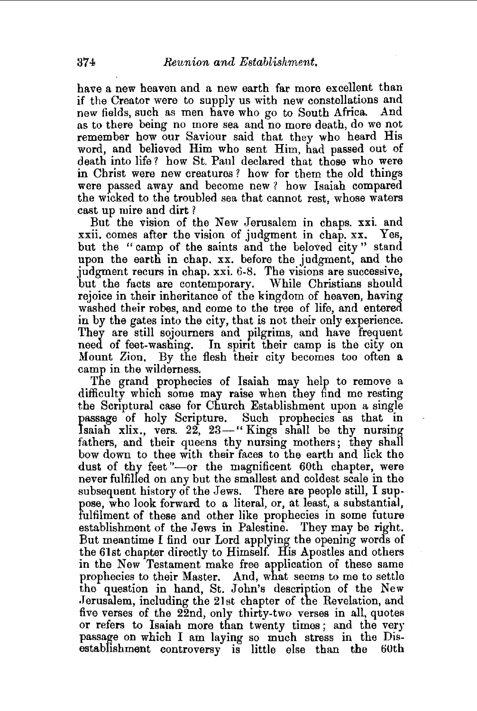have a new heaven and a new earth far more excellent than if the Creator were to supply us with new constellations and new fields, such as men have who go to South Africa. And as to there being no more sea and no more death, do we not remember how our Saviour said that they who heard His word, and believed Him who sent Him, had passed out of death into life? how St. Paul declared that those who were in Christ were new creatures ? how for them the old things were passed away and become new? how Isaiah compared the wicked to the troubled sea that cannot rest, whose waters cast up mire and dirt ?

But the vision of the New Jerusalem in chaps. xxi. and xxii. comes after the vision of judgment in chap. xx. Yes, but the "camp of the saints and the beloved city" stand upon the earth in chap. xx. before the judgment, and the judgment recurs in chap. xxi. 6-8. The visions are successive, but the facts are contemporary. While Christians should rejoice in their inheritance of the kingdom of heaven, having washed their robes, and come to the tree of life, and entered. in by the gates into the city, that is not their only experience. They are still sojourners and pilgrims, and have frequent need of feet-washing. In spirit their camp is the city on Mount Zion. By the flesh their city becomes too often a camp in the wilderness.

The grand prophecies of Isaiah may help to remove a difficulty which some may raise when they find me resting the Scriptural case for Church Establishment upon a single passage of holy Scripture. Such prophecies as that in Isaiah xlix., vers. 22, 23-" Kings shall be thy nursing fathers, and their queens thy nursing mothers; they shall bow down to thee with their faces to the earth and lick the dust of thy feet "-or the magnificent 60th chapter, were never fulfilled on any but the smallest and coldest scale in the subsequent history of the Jews. There are people still, I suppose, who look forward to a literal, or, at least, a substantial, fulfilment of these and other like prophecies in some future establishment of the Jews in Palestine. They may be right. But meantime I find our Lord applying the opening words of the 61st chapter directly to Himself. His Apostles and others in the New Testament make free application of these same prophecies to their Master. And, what seems to me to settle the question in hand, St. John's description of the New .Jerusalem, including the 21st chapter of the Revelation, and five verses of the 22nd, only thirty-two verses in all, quotes or refers to Isaiah more than twenty times ; and the very passage on which I am laying so much stress in the Disestablishment controversy is little else than the 60th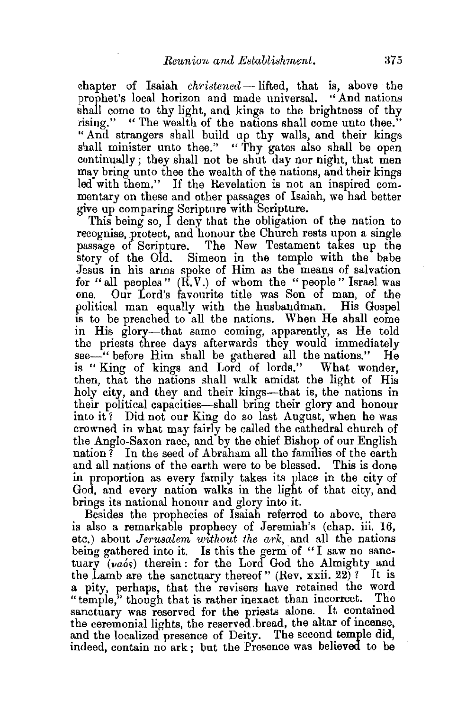chapter of Isaiah *christened* -- lifted, that is, above the prophet's local horizon and made universal. ''And nations shall come to thy light, and kings to the brightness of thy rising." "The wealth of the nations shall come unto thee." "And strangers shall build up thy walls, and their kings shall minister unto thee." "Thy gates also shall be open continually; they shall not be shut day nor night, that men may bring unto thee the wealth of the nations, and their kings led with them." If the Revelation is not an inspired commentary on these and other passages of Isaiah, we had better give up comparing Scripture with Scripture.

This being so, I deny that the obligation of the nation to recognise, protect, and honour the Church rests upon a single passage of Scripture. The New Testament takes up the story of the Old. Simeon in the temple with the babe Jesus in his arms spoke of Him as the means of salvation for "all peoples" (R.V.) of whom the "people" Israel was one. Our Lord's favourite title was Son of man, of the political man equally with the husbandman. His Gospel is to be preached to all the nations. When He shall come in His glory-that same coming, apparently, as He told the priests three days afterwards they would immediately see-" before Him shall be gathered all the nations." He is "King of kings and Lord of lords." What wonder, then, that the nations shall walk amidst the light of His holy city, and they and their kings—that is, the nations in their political capacities-shall bring their glory and honour into it? Did not our King do so last August, when he was crowned in what may fairly be called the cathedral church of the Anglo.Saxon race, and by the chief Bishop of our English nation ? In the seed of Abraham all the families of the earth and all nations of the earth were to be blessed. This is done in proportion as every family takes its place in the city of God, and every nation walks in the light of that city, and brings its national honour and glory into it.

Besides the prophecies of Isaiah referred to above, there is also a remarkable prophecy of Jeremiah's (chap. iii. 16, etc.) about *Jerusalem* without the ark, and all the nations being gathered into it. Is this the germ of "I saw no sanctuary (vaós) therein: for the Lord God the Almighty and the Lamb are the sanctuary thereof " (Rev.  $\overline{x}$ xii. 22)? It is a pity, perhaps, that the revisers have retained the word "temple," though that is rather inexact than incorrect. The sanctuary was reserved for the priests alone. It contained the ceremonial lights, the reserved bread, the altar of incense, and the localized presence of Deity. The second temple did. indeed, contain no ark; but the Presence was believed to be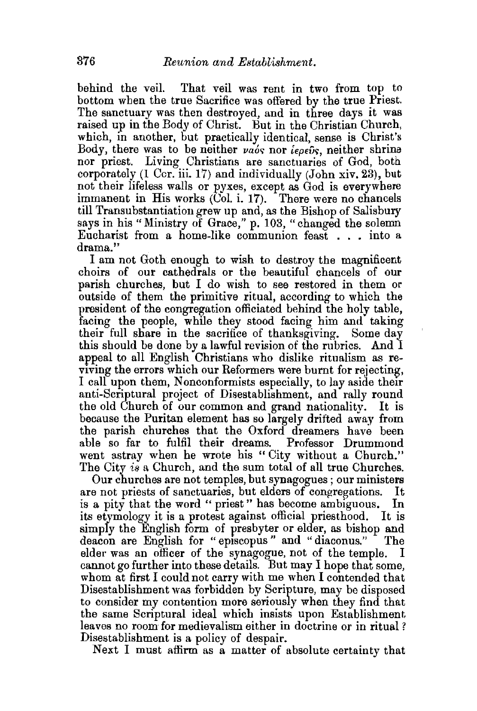behind the veil. That veil was rent in two from top to bottom when the true Sacrifice was offered by the true Priest. The sanctuary was then destroyed, and in three days it was raised up in the Body of Christ. But in the Christian Church, which, in another, but practically identical, sense is Christ's Body, there was to be neither  $\nu a_0$  nor  $i\epsilon \rho \epsilon \hat{v} s$ , neither shrine nor priest. Living Christians are sanctuaries of God, both corporately (1 Cor. iii. 17) and individually (John xiv. 23), but not their lifeless walls or pyxes, except as God is everywhere immanent in His works  $(\check{Col}, i. 17)$ . There were no chancels till Transubstantiation grew up and, as the Bishop of Salisbury says in his "Ministry of Grace," p. 103, "changed the solemn Eucharist from a home-like communion feast . . . into a drama.''

I am not Goth enough to wish to destroy the magnificent choirs of our cathedrals or the beautiful chancels of our parish churches, but I do wish to see restored in them or outside of them the primitive ritual, according to which the president of the congregation officiated behind the holy table, facing the people, while they stood facing him and taking their full share in the sacrifice of thanksgiving. Some day this should be done by a lawful revision of the rubrics. And I appeal to all English Christians who dislike ritualism as reviving the errors which our Reformers were burnt for rejecting, I call upon them, Nonconformists especially, to lay aside their anti-Scriptural project of Disestablishment, and rally round the old Church of our common and grand nationality. It is because the Puritan element has so largely drifted away from the parish churches that the Oxford dreamers have been able so far to fulfil their dreams. Professor Drummond went astray when he wrote his "City without a Church." The City *is* a Church, and the sum total of all true Churches.

Our churches are not temples, but synagogues; our ministers are not priests of sanctuaries, but elders of congregations. It is a pity that the word " priest" has become ambiguous. In its etymology it is a protest against official priesthood. It is simply the English form of presbyter or elder, as bishop and<br>deacon are English for "episcopus" and "diaconus." The deacon are English for "episcopus" and "diaconus." elder was an officer of the synagogue, not of the temple. I cannot go further into these details. But may I hope that some, whom at first I could not carry with me when I contended that Disestablishment was forbidden by Scripture, may be disposed to consider my contention more seriously when they find that the same Scriptural ideal which insists upon Establishment leaves no room for medievalism either in doctrine or in ritual ? Disestablishment is a policy of despair.

Next I must affirm as a matter of absolute certainty that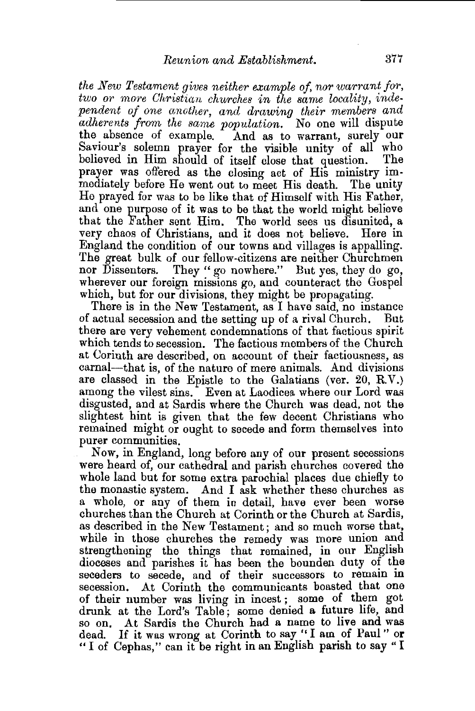*the New Testament gives neither example of, nor warrant for, two or more Christian churches in the same locality, independent of one another, and drawing their members and adherents from the same population.* No one will dispute the absence of example. And as to warrant, surely our Saviour's solemn prayer for the visible unity of all who believed in Him should of itself close that question. The believed in Him should of itself close that question. prayer was offered as the closing act of His ministry immediately before He went out to meet His death. The unity He prayed for was to be like that of Himself with His Father, and one purpose of it was to be that the world might believe that the Father sent Him. The world sees us disunited, a very chaos of Christians, and it does not believe. Here in England the condition of our towns and villages is appalling. The great bulk of our fellow-citizens are neither Churchmen<br>nor Dissenters. They "go nowhere." But yes, they do go, They " go nowhere." But yes, they do go, wherever our foreign missions go, and counteract the Gospel which, but for our divisions, they might be propagating.

There is in the New Testament, as I have satd, no instance of actual secession and the setting up of a rival Church. there are very vehement condemnations of that factious spirit which tends to secession. The factious members of the Church at Corinth are described, on account of their factiousness, as carnal—that is, of the nature of mere animals. And divisions are classed in the Epistle to the Galatians (ver. 20, R.V.) among the vilest sins. Even at Laodicea where our Lord was disgusted, and at Sardis where the Church was dead, not the slightest hint is given that the few decent Christians who remained might or ought to secede and form themselves into purer communities.

Now, in England, long before any of our present secessions were heard of, our cathedral and parish churches covered the whole land but for some extra parochial places due chiefly to the monastic system. And I ask whether these churches as a whole, or any of them in detail, have ever been worse churches than the Church at Corinth or the Church at Sardis, as described in the New Testament; and so much worse that, while in those churches the remedy was more union and strengthening the things that remained, in our English dioceses and parishes it has been the bounden duty of the seceders to secede, and of their successors to remain in secession. At Corinth the communicants boasted that one of their number was living in incest ; some of them got drunk at the Lord's Table; some denied a future life, and so on. At Sardis the Church had a name to live and was dead. If it was wrong at Corinth to say "I am of Paul" or " I of Cephas," can it be right in an English parish to say "I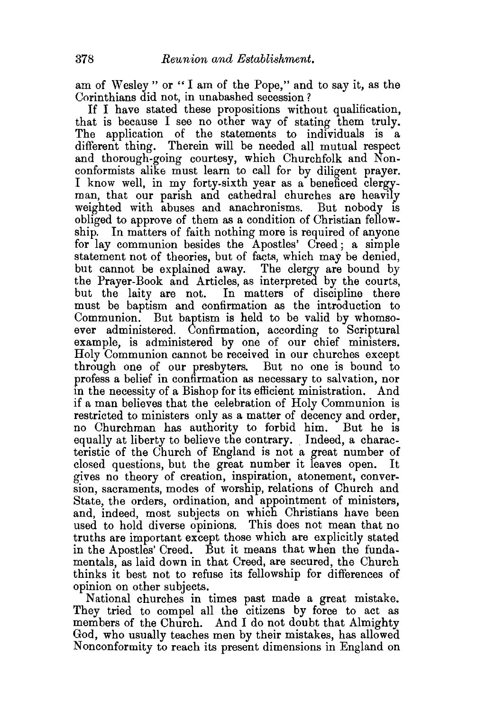am of Wesley " or " I am of the Pope," and to say it, as the Corinthians did not, in unabashed secession ?

If I have stated these propositions without qualification, that is because I see no other way of stating them truly. The application of the statements to individuals is a different thing. Therein will be needed all mutual respect and thorough-going courtesy, which Churchfolk and Nonconformists alike must learn to call for by diligent prayer. I know well, in my forty-sixth year as a beneficed clergyman, that our parish and cathedral churches are heavily weighted with abuses and anachronisms. But nobody is obliged to approve of them as a condition of Christian fellowship. In matters of faith nothing more is required of anyone for lay communion besides the Apostles' Creed; a simple statement not of theories, but of facts, which may be denied, but cannot be explained away. The clergy are bound by the Prayer-Book and Articles, as interpreted by the courts, but the laity are not. In matters of discipline there must be baptism and confirmation as the introduction to Communion. But baptism is held to be valid by whomsoever administered. Confirmation, according to Scriptural example, is administered by one of our chief ministers. Holy Communion cannot be received in our churches except through one of our presbyters. But no one is bound to profess a belief in confirmation as necessary to salvation, nor in the necessity of a Bishop for its efficient ministration. And if a man believes that the celebration of Holy Communion is restricted to ministers only as a matter of decency and order, no Churchman has authority to forbid him. But he is equally at liberty to believe the contrary. Indeed, a characteristic of the Church of England is not a great number of closed questions, but the great number it leaves open. It gives no theory of creation, inspiration, atonement, conversion, sacraments, modes of worship, relations of Church and State, the orders, ordination, and appointment of ministers, and, indeed, most subjects on which Christians have been used to hold diverse opinions. This does not mean that no truths are important except those which are explicitly stated in the Apostles' Creed. But it means that when the fundamentals, as laid down in that Creed, are secured, the Church thinks it best not to refuse its fellowship for differences of opinion on other subjects.

National churches in times past made a great mistake. They tried to compel all the citizens by force to act as members of the Church. And I do not doubt that Almighty God, who usually teaches men by their mistakes, has allowed Nonconformity to reach its present dimensions in England on